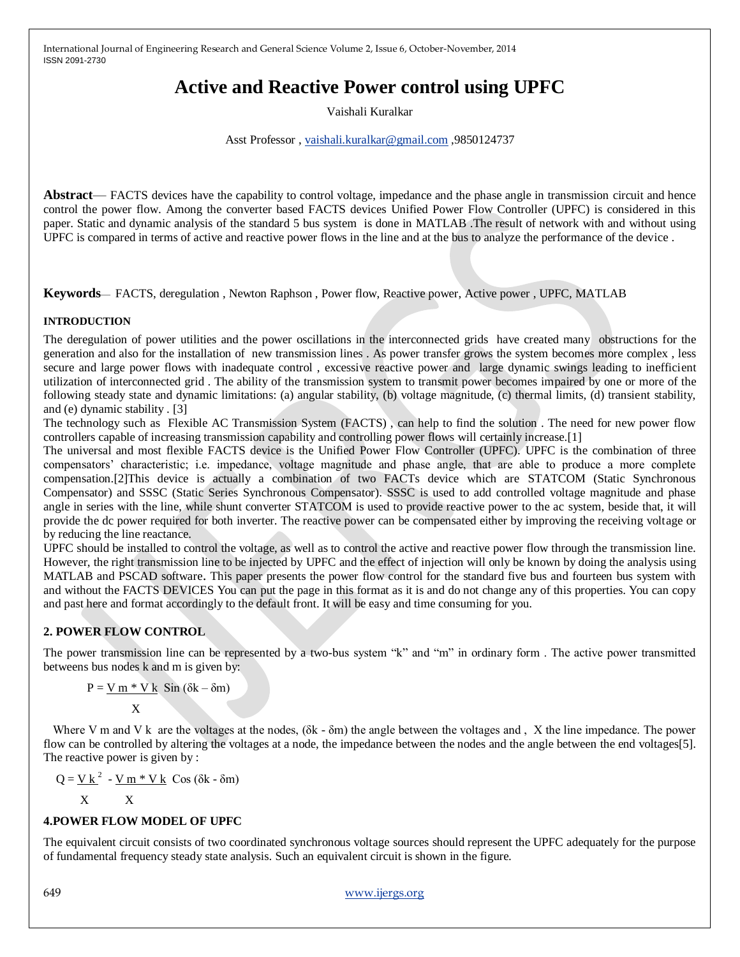# **Active and Reactive Power control using UPFC**

Vaishali Kuralkar

Asst Professor , [vaishali.kuralkar@gmail.com](mailto:vaishali.kuralkar@gmail.com) ,9850124737

**Abstract**— FACTS devices have the capability to control voltage, impedance and the phase angle in transmission circuit and hence control the power flow. Among the converter based FACTS devices Unified Power Flow Controller (UPFC) is considered in this paper. Static and dynamic analysis of the standard 5 bus system is done in MATLAB .The result of network with and without using UPFC is compared in terms of active and reactive power flows in the line and at the bus to analyze the performance of the device .

**Keywords**— FACTS, deregulation , Newton Raphson , Power flow, Reactive power, Active power , UPFC, MATLAB

## **INTRODUCTION**

The deregulation of power utilities and the power oscillations in the interconnected grids have created many obstructions for the generation and also for the installation of new transmission lines . As power transfer grows the system becomes more complex , less secure and large power flows with inadequate control , excessive reactive power and large dynamic swings leading to inefficient utilization of interconnected grid . The ability of the transmission system to transmit power becomes impaired by one or more of the following steady state and dynamic limitations: (a) angular stability, (b) voltage magnitude, (c) thermal limits, (d) transient stability, and (e) dynamic stability . [3]

The technology such as Flexible AC Transmission System (FACTS) , can help to find the solution . The need for new power flow controllers capable of increasing transmission capability and controlling power flows will certainly increase.[1]

The universal and most flexible FACTS device is the Unified Power Flow Controller (UPFC). UPFC is the combination of three compensators' characteristic; i.e. impedance, voltage magnitude and phase angle, that are able to produce a more complete compensation.[2]This device is actually a combination of two FACTs device which are STATCOM (Static Synchronous Compensator) and SSSC (Static Series Synchronous Compensator). SSSC is used to add controlled voltage magnitude and phase angle in series with the line, while shunt converter STATCOM is used to provide reactive power to the ac system, beside that, it will provide the dc power required for both inverter. The reactive power can be compensated either by improving the receiving voltage or by reducing the line reactance.

UPFC should be installed to control the voltage, as well as to control the active and reactive power flow through the transmission line. However, the right transmission line to be injected by UPFC and the effect of injection will only be known by doing the analysis using MATLAB and PSCAD software. This paper presents the power flow control for the standard five bus and fourteen bus system with and without the FACTS DEVICES You can put the page in this format as it is and do not change any of this properties. You can copy and past here and format accordingly to the default front. It will be easy and time consuming for you.

## **2. POWER FLOW CONTROL**

The power transmission line can be represented by a two-bus system "k" and "m" in ordinary form . The active power transmitted betweens bus nodes k and m is given by:

$$
P = \frac{V m * V k}{X} \cdot \sin(\delta k - \delta m)
$$

Where V m and V k are the voltages at the nodes,  $(\delta k - \delta m)$  the angle between the voltages and, X the line impedance. The power flow can be controlled by altering the voltages at a node, the impedance between the nodes and the angle between the end voltages[5]. The reactive power is given by :

$$
Q = \underline{V k}^2 - \underline{V m * V k} \cos{(\delta k - \delta m)}
$$

$$
\mathbf{X} \qquad \quad \mathbf{X}
$$

## **4.POWER FLOW MODEL OF UPFC**

The equivalent circuit consists of two coordinated synchronous voltage sources should represent the UPFC adequately for the purpose of fundamental frequency steady state analysis. Such an equivalent circuit is shown in the figure.

649 www.ijergs.org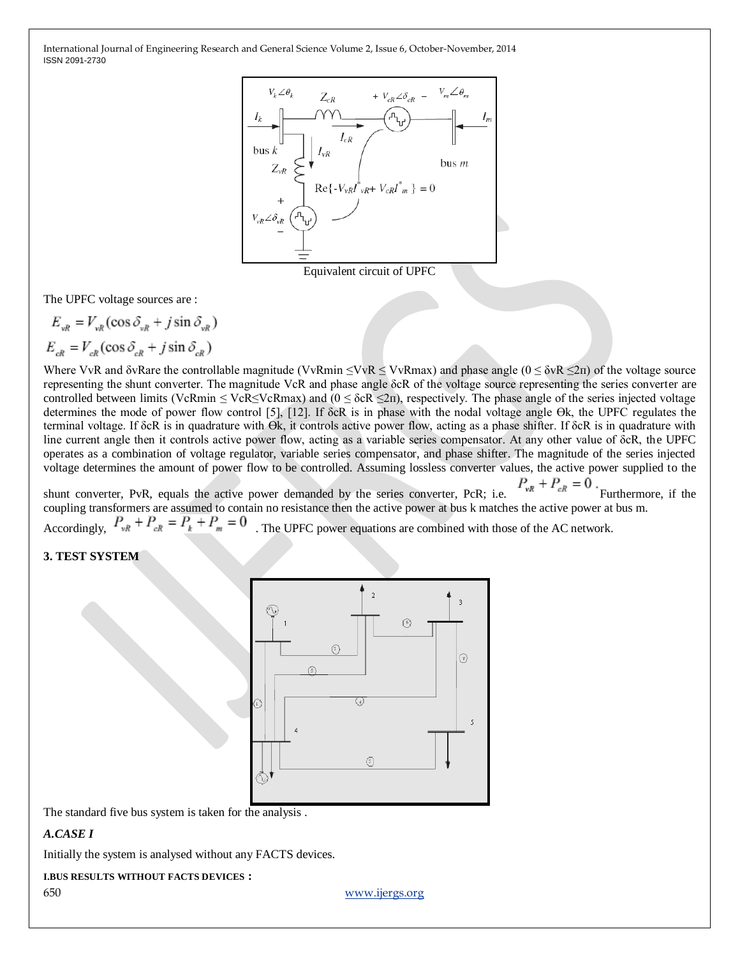

Equivalent circuit of UPFC

The UPFC voltage sources are :

$$
E_{vR} = V_{vR} (\cos \delta_{vR} + j \sin \delta_{vR})
$$
  

$$
E_{cR} = V_{cR} (\cos \delta_{cR} + j \sin \delta_{cR})
$$

Where VvR and  $\delta$ vRare the controllable magnitude (VvRmin  $\leq$ VvRmax) and phase angle ( $0 \leq \delta vR \leq 2\pi$ ) of the voltage source representing the shunt converter. The magnitude VcR and phase angle δcR of the voltage source representing the series converter are controlled between limits (VcRmin  $\leq$  VcR $\leq$ VcRmax) and ( $0 \leq$  δcR $\leq$ 2π), respectively. The phase angle of the series injected voltage determines the mode of power flow control [5], [12]. If δcR is in phase with the nodal voltage angle Өk, the UPFC regulates the terminal voltage. If δcR is in quadrature with Өk, it controls active power flow, acting as a phase shifter. If δcR is in quadrature with line current angle then it controls active power flow, acting as a variable series compensator. At any other value of δcR, the UPFC operates as a combination of voltage regulator, variable series compensator, and phase shifter. The magnitude of the series injected voltage determines the amount of power flow to be controlled. Assuming lossless converter values, the active power supplied to the

shunt converter, PvR, equals the active power demanded by the series converter, PcR; i.e.  $P_{vR} + P_{cR} = 0$ . Furthermore, if the coupling transformers are assumed to contain no resistance then the active power at bus k matches the active power at bus m.

Accordingly,  $P_{vR} + P_{cR} = P_{k} + P_{m} = 0$ . The UPFC power equations are combined with those of the AC network.

# **3. TEST SYSTEM**



The standard five bus system is taken for the analysis .

#### *A.CASE I*

Initially the system is analysed without any FACTS devices.

#### **I.BUS RESULTS WITHOUT FACTS DEVICES :**

650 www.ijergs.org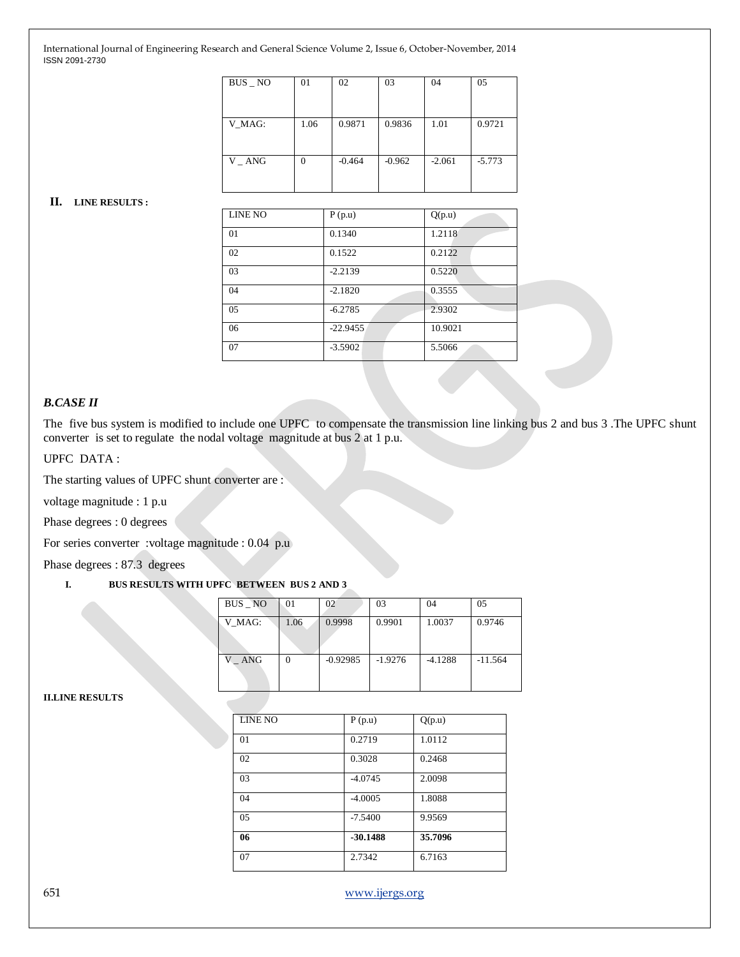| $BUS$ $\_\ NO$ | 01   | 02       | 03       | 04       | 05       |
|----------------|------|----------|----------|----------|----------|
| V MAG:         | 1.06 | 0.9871   | 0.9836   | 1.01     | 0.9721   |
| $V_A N$        | 0    | $-0.464$ | $-0.962$ | $-2.061$ | $-5.773$ |

#### **II. LINE RESULTS :**

| <b>LINE NO</b> | P(p.u)     | Q(p.u)  |
|----------------|------------|---------|
| 01             | 0.1340     | 1.2118  |
| 02             | 0.1522     | 0.2122  |
| 03             | $-2.2139$  | 0.5220  |
| 04             | $-2.1820$  | 0.3555  |
| 05             | $-6.2785$  | 2.9302  |
| 06             | $-22.9455$ | 10.9021 |
| 07             | $-3.5902$  | 5.5066  |

#### *B.CASE II*

The five bus system is modified to include one UPFC to compensate the transmission line linking bus 2 and bus 3 .The UPFC shunt converter is set to regulate the nodal voltage magnitude at bus 2 at 1 p.u.

## UPFC DATA :

The starting values of UPFC shunt converter are :

voltage magnitude : 1 p.u

Phase degrees : 0 degrees

For series converter :voltage magnitude : 0.04 p.u

Phase degrees : 87.3 degrees

# **I. BUS RESULTS WITH UPFC BETWEEN BUS 2 AND 3**

| $BUS$ $NO$ | 01   | 02         | 03        | 04        | 0.5       |
|------------|------|------------|-----------|-----------|-----------|
| V MAG:     | 1.06 | 0.9998     | 0.9901    | 1.0037    | 0.9746    |
| V<br>ANG   |      | $-0.92985$ | $-1.9276$ | $-4.1288$ | $-11.564$ |

**II.LINE RESULTS**

| <b>LINE NO</b> | P(p.u)     | Q(p.u)  |
|----------------|------------|---------|
| 01             | 0.2719     | 1.0112  |
| 02             | 0.3028     | 0.2468  |
| 03             | $-4.0745$  | 2.0098  |
| 04             | $-4.0005$  | 1.8088  |
| 05             | $-7.5400$  | 9.9569  |
| 06             | $-30.1488$ | 35.7096 |
| 07             | 2.7342     | 6.7163  |

651 www.ijergs.org